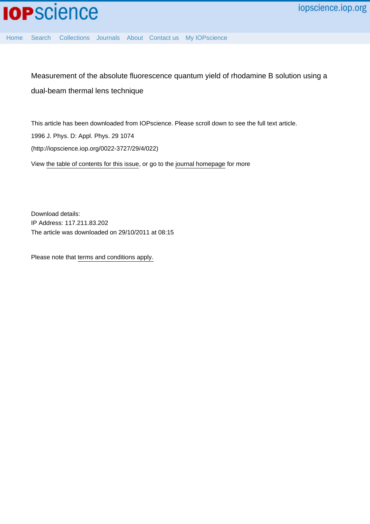

[Home](http://iopscience.iop.org/) [Search](http://iopscience.iop.org/search) [Collections](http://iopscience.iop.org/collections) [Journals](http://iopscience.iop.org/journals) [About](http://iopscience.iop.org/page/aboutioppublishing) [Contact us](http://iopscience.iop.org/contact) [My IOPscience](http://iopscience.iop.org/myiopscience)

Measurement of the absolute fluorescence quantum yield of rhodamine B solution using a dual-beam thermal lens technique

This article has been downloaded from IOPscience. Please scroll down to see the full text article. 1996 J. Phys. D: Appl. Phys. 29 1074 (http://iopscience.iop.org/0022-3727/29/4/022)

View [the table of contents for this issue](http://iopscience.iop.org/0022-3727/29/4), or go to the [journal homepage](http://iopscience.iop.org/0022-3727) for more

Download details: IP Address: 117.211.83.202 The article was downloaded on 29/10/2011 at 08:15

Please note that [terms and conditions apply.](http://iopscience.iop.org/page/terms)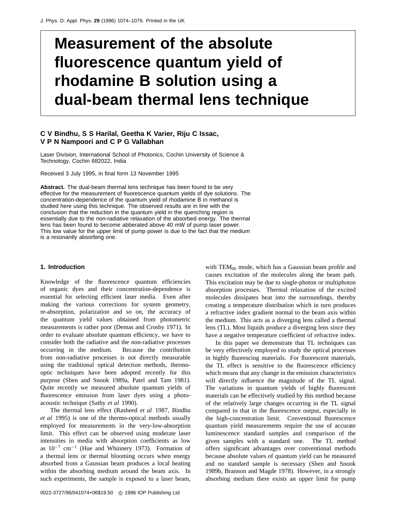# **Measurement of the absolute fluorescence quantum yield of rhodamine B solution using a dual-beam thermal lens technique**

## **C V Bindhu, S S Harilal, Geetha K Varier, Riju C Issac, V P N Nampoori and C P G Vallabhan**

Laser Division, International School of Photonics, Cochin University of Science & Technology, Cochin 682022, India

Received 3 July 1995, in final form 13 November 1995

**Abstract.** The dual-beam thermal lens technique has been found to be very effective for the measurement of fluorescence quantum yields of dye solutions. The concentration-dependence of the quantum yield of rhodamine B in methanol is studied here using this technique. The observed results are in line with the conclusion that the reduction in the quantum yield in the quenching region is essentially due to the non-radiative relaxation of the absorbed energy. The thermal lens has been found to become abberated above 40 mW of pump laser power. This low value for the upper limit of pump power is due to the fact that the medium is a resonantly absorbing one.

#### **1. Introduction**

Knowledge of the fluorescence quantum efficiencies of organic dyes and their concentration-dependence is essential for selecting efficient laser media. Even after making the various corrections for system geometry, re-absorption, polarization and so on, the accuracy of the quantum yield values obtained from photometric measurements is rather poor (Demas and Crosby 1971). In order to evaluate absolute quantum efficiency, we have to consider both the radiative and the non-radiative processes occurring in the medium. Because the contribution from non-radiative processes is not directly measurable using the traditional optical detection methods, thermooptic techniques have been adopted recently for this purpose (Shen and Snook 1989a, Patel and Tam 1981). Quite recently we measured absolute quantum yields of fluorescence emission from laser dyes using a photoacoustic technique (Sathy *et al* 1990).

The thermal lens effect (Rasheed *et al* 1987, Bindhu *et al* 1995) is one of the thermo-optical methods usually employed for measurements in the very-low-absorption limit. This effect can be observed using moderate laser intensities in media with absorption coefficients as low as  $10^{-7}$  cm<sup>-1</sup> (Hue and Whinnery 1973). Formation of a thermal lens or thermal blooming occurs when energy absorbed from a Gaussian beam produces a local heating within the absorbing medium around the beam axis. In such experiments, the sample is exposed to a laser beam, with  $TEM_{00}$  mode, which has a Gaussian beam profile and causes excitation of the molecules along the beam path. This excitation may be due to single-photon or multiphoton absorption processes. Thermal relaxation of the excited molecules dissipates heat into the surroundings, thereby creating a temperature distribution which in turn produces a refractive index gradient normal to the beam axis within the medium. This acts as a diverging lens called a thermal lens (TL). Most liquids produce a diverging lens since they have a negative temperature coefficient of refractive index.

In this paper we demonstrate that TL techniques can be very effectively employed to study the optical processes in highly fluorescing materials. For fluorescent materials, the TL effect is sensitive to the fluorescence efficiency which means that any change in the emission characteristics will directly influence the magnitude of the TL signal. The variations in quantum yields of highly fluorescent materials can be effectively studied by this method because of the relatively large changes occurring in the TL signal compared to that in the fluorescence output, especially in the high-concentration limit. Conventional fluorescence quantum yield measurements require the use of accurate luminescence standard samples and comparison of the given samples with a standard one. The TL method offers significant advantages over conventional methods because absolute values of quantum yield can be measured and no standard sample is necessary (Shen and Snook 1989b, Brannon and Magde 1978). However, in a strongly absorbing medium there exists an upper limit for pump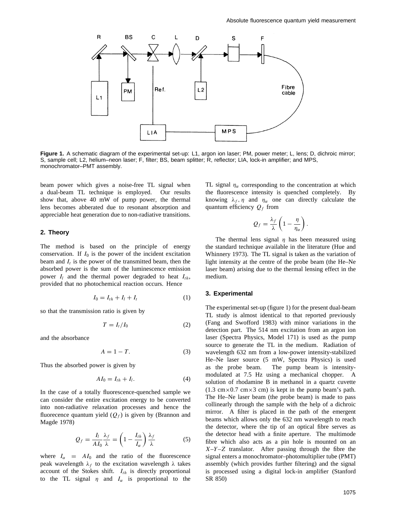

**Figure 1.** A schematic diagram of the experimental set-up: L1, argon ion laser; PM, power meter; L, lens; D, dichroic mirror; S, sample cell; L2, helium–neon laser; F, filter; BS, beam splitter; R, reflector; LIA, lock-in amplifier; and MPS, monochromator–PMT assembly.

beam power which gives a noise-free TL signal when a dual-beam TL technique is employed. Our results show that, above 40 mW of pump power, the thermal lens becomes abberated due to resonant absorption and appreciable heat generation due to non-radiative transitions.

#### **2. Theory**

The method is based on the principle of energy conservation. If  $I_0$  is the power of the incident excitation beam and  $I_t$  is the power of the transmitted beam, then the absorbed power is the sum of the luminescence emission power  $I_l$  and the thermal power degraded to heat  $I_{th}$ , provided that no photochemical reaction occurs. Hence

$$
I_0 = I_{th} + I_l + I_t \tag{1}
$$

so that the transmission ratio is given by

$$
T = I_t/I_0 \tag{2}
$$

and the absorbance

$$
A = 1 - T.\t\t(3)
$$

Thus the absorbed power is given by

$$
AI_0 = I_{th} + I_l. \tag{4}
$$

In the case of a totally fluorescence-quenched sample we can consider the entire excitation energy to be converted into non-radiative relaxation processes and hence the fluorecence quantum yield  $(Q_f)$  is given by (Brannon and Magde 1978)

$$
Q_f = \frac{I_l}{A I_0} \frac{\lambda_f}{\lambda} = \left(1 - \frac{I_{th}}{I_\alpha}\right) \frac{\lambda_f}{\lambda} \tag{5}
$$

where  $I_{\alpha} = A I_0$  and the ratio of the fluorescence peak wavelength *λf* to the excitation wavelength *λ* takes account of the Stokes shift. *Ith* is directly proportional to the TL signal  $\eta$  and  $I_\alpha$  is proportional to the

TL signal  $\eta_{\alpha}$  corresponding to the concentration at which the fluorescence intensity is quenched completely. By knowing  $\lambda_f$ ,  $\eta$  and  $\eta_\alpha$  one can directly calculate the quantum efficiency  $Q_f$  from

$$
Q_f = \frac{\lambda_f}{\lambda} \left( 1 - \frac{\eta}{\eta_\alpha} \right).
$$

The thermal lens signal  $\eta$  has been measured using the standard technique available in the literature (Hue and Whinnery 1973). The TL signal is taken as the variation of light intensity at the centre of the probe beam (the He–Ne laser beam) arising due to the thermal lensing effect in the medium.

#### **3. Experimental**

The experimental set-up (figure 1) for the present dual-beam TL study is almost identical to that reported previously (Fang and Swofford 1983) with minor variations in the detection part. The 514 nm excitation from an argon ion laser (Spectra Physics, Model 171) is used as the pump source to generate the TL in the medium. Radiation of wavelength 632 nm from a low-power intensity-stabilized He–Ne laser source (5 mW, Spectra Physics) is used as the probe beam. The pump beam is intensitymodulated at 7.5 Hz using a mechanical chopper. A solution of rhodamine B in methanol in a quartz cuvette  $(1.3 \text{ cm} \times 0.7 \text{ cm} \times 3 \text{ cm})$  is kept in the pump beam's path. The He–Ne laser beam (the probe beam) is made to pass collinearly through the sample with the help of a dichroic mirror. A filter is placed in the path of the emergent beams which allows only the 632 nm wavelength to reach the detector, where the tip of an optical fibre serves as the detector head with a finite aperture. The multimode fibre which also acts as a pin hole is mounted on an *X*–*Y* –*Z* translator. After passing through the fibre the signal enters a monochromator–photomultiplier tube (PMT) assembly (which provides further filtering) and the signal is processed using a digital lock-in amplifier (Stanford SR 850)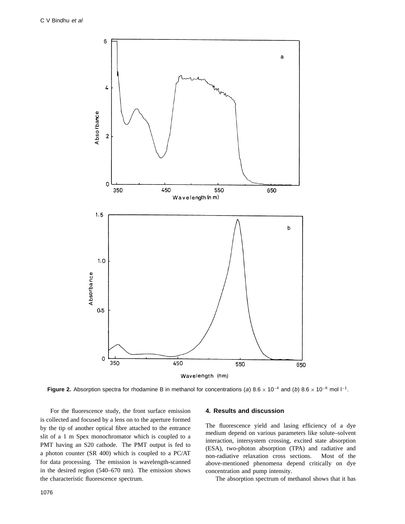

**Figure 2.** Absorption spectra for rhodamine B in methanol for concentrations (a) 8*.*<sup>6</sup> <sup>×</sup> <sup>10</sup>−<sup>4</sup> and (b) 8*.*<sup>6</sup> <sup>×</sup> <sup>10</sup>−<sup>6</sup> mol l−1.

For the fluorescence study, the front surface emission is collected and focused by a lens on to the aperture formed by the tip of another optical fibre attached to the entrance slit of a 1 m Spex monochromator which is coupled to a PMT having an S20 cathode. The PMT output is fed to a photon counter (SR 400) which is coupled to a PC/AT for data processing. The emission is wavelength-scanned in the desired region (540–670 nm). The emission shows the characteristic fluorescence spectrum.

### **4. Results and discussion**

The fluorescence yield and lasing efficiency of a dye medium depend on various parameters like solute–solvent interaction, intersystem crossing, excited state absorption (ESA), two-photon absorption (TPA) and radiative and non-radiative relaxation cross sections. Most of the above-mentioned phenomena depend critically on dye concentration and pump intensity.

The absorption spectrum of methanol shows that it has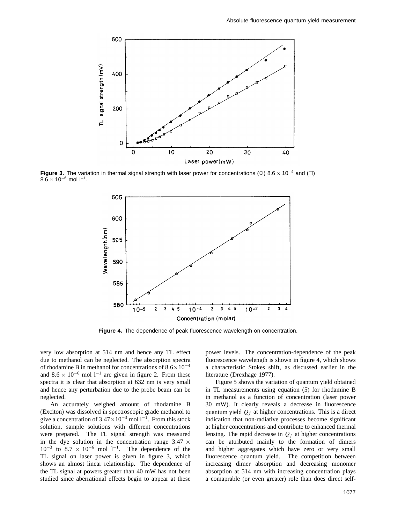

**Figure 3.** The variation in thermal signal strength with laser power for concentrations (○) 8.6  $\times$  10<sup>-4</sup> and (□)  $8.\bar{6} \times 10^{-6}$  mol  $1^{-1}$ .



**Figure 4.** The dependence of peak fluorescence wavelength on concentration.

very low absorption at 514 nm and hence any TL effect due to methanol can be neglected. The absorption spectra of rhodamine B in methanol for concentrations of 8*.*6×10−<sup>4</sup> and  $8.6 \times 10^{-6}$  mol 1<sup>-1</sup> are given in figure 2. From these spectra it is clear that absorption at 632 nm is very small and hence any perturbation due to the probe beam can be neglected.

An accurately weighed amount of rhodamine B (Exciton) was dissolved in spectroscopic grade methanol to give a concentration of  $3.47 \times 10^{-3}$  mol  $1^{-1}$ . From this stock solution, sample solutions with different concentrations were prepared. The TL signal strength was measured in the dye solution in the concentration range  $3.47 \times$  $10^{-3}$  to  $8.7 \times 10^{-6}$  mol 1<sup>-1</sup>. The dependence of the TL signal on laser power is given in figure 3, which shows an almost linear relationship. The dependence of the TL signal at powers greater than 40 mW has not been studied since aberrational effects begin to appear at these

power levels. The concentration-dependence of the peak fluorescence wavelength is shown in figure 4, which shows a characteristic Stokes shift, as discussed earlier in the literature (Drexhage 1977).

Figure 5 shows the variation of quantum yield obtained in TL measurements using equation (5) for rhodamine B in methanol as a function of concentration (laser power 30 mW). It clearly reveals a decrease in fluorescence quantum yield  $Q_f$  at higher concentrations. This is a direct indication that non-radiative processes become significant at higher concentrations and contribute to enhanced thermal lensing. The rapid decrease in  $Q_f$  at higher concentrations can be attributed mainly to the formation of dimers and higher aggregates which have zero or very small fluorescence quantum yield. The competition between increasing dimer absorption and decreasing monomer absorption at 514 nm with increasing concentration plays a comaprable (or even greater) role than does direct self-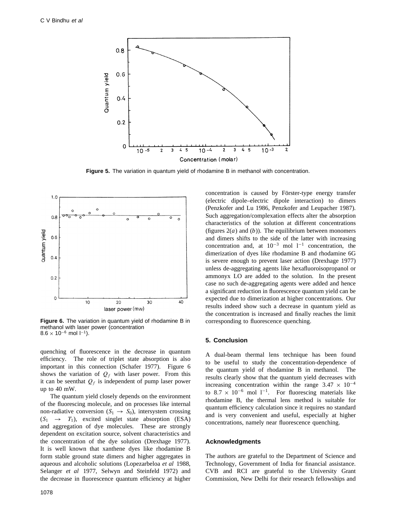

**Figure 5.** The variation in quantum yield of rhodamine B in methanol with concentration.



**Figure 6.** The variation in quantum yield of rhodamine B in methanol with laser power (concentration  $8.6 \times 10^{-6}$  mol  $1^{-1}$ ).

quenching of fluorescence in the decrease in quantum efficiency. The role of triplet state absorption is also important in this connection (Schafer 1977). Figure 6 shows the variation of  $Q_f$  with laser power. From this it can be seenthat  $Q_f$  is independent of pump laser power up to 40 mW.

The quantum yield closely depends on the environment of the fluorescing molecule, and on processes like internal non-radiative conversion  $(S_1 \rightarrow S_0)$ , intersystem crossing  $(S_1 \rightarrow T_1)$ , excited singlet state absorption (ESA) and aggregation of dye molecules. These are strongly dependent on excitation source, solvent characteristics and the concentration of the dye solution (Drexhage 1977). It is well known that xanthene dyes like rhodamine B form stable ground state dimers and higher aggregates in aqueous and alcoholic solutions (Lopezarbeloa *et al* 1988, Selanger *et al* 1977, Selwyn and Steinfeld 1972) and the decrease in fluorescence quantum efficiency at higher

1078

concentration is caused by Förster-type energy transfer (electric dipole–electric dipole interaction) to dimers (Penzkofer and Lu 1986, Penzkofer and Leupacher 1987). Such aggregation/complexation effects alter the absorption characteristics of the solution at different concentrations (figures  $2(a)$  and  $(b)$ ). The equilibrium between monomers and dimers shifts to the side of the latter with increasing concentration and, at  $10^{-3}$  mol  $1^{-1}$  concentration, the dimerization of dyes like rhodamine B and rhodamine 6G is severe enough to prevent laser action (Drexhage 1977) unless de-aggregating agents like hexafluoroisopropanol or ammonyx LO are added to the solution. In the present case no such de-aggregating agents were added and hence a significant reduction in fluorescence quantum yield can be expected due to dimerization at higher concentrations. Our results indeed show such a decrease in quantum yield as the concentration is increased and finally reaches the limit corresponding to fluorescence quenching.

#### **5. Conclusion**

A dual-beam thermal lens technique has been found to be useful to study the concentration-dependence of the quantum yield of rhodamine B in methanol. The results clearly show that the quantum yield decreases with increasing concentration within the range  $3.47 \times 10^{-4}$ to 8.7  $\times$  10<sup>-6</sup> mol 1<sup>-1</sup>. For fluorescing materials like rhodamine B, the thermal lens method is suitable for quantum efficiency calculation since it requires no standard and is very convenient and useful, especially at higher concentrations, namely near fluorescence quenching.

#### **Acknowledgments**

The authors are grateful to the Department of Science and Technology, Government of India for financial assistance. CVB and RCI are grateful to the University Grant Commission, New Delhi for their research fellowships and